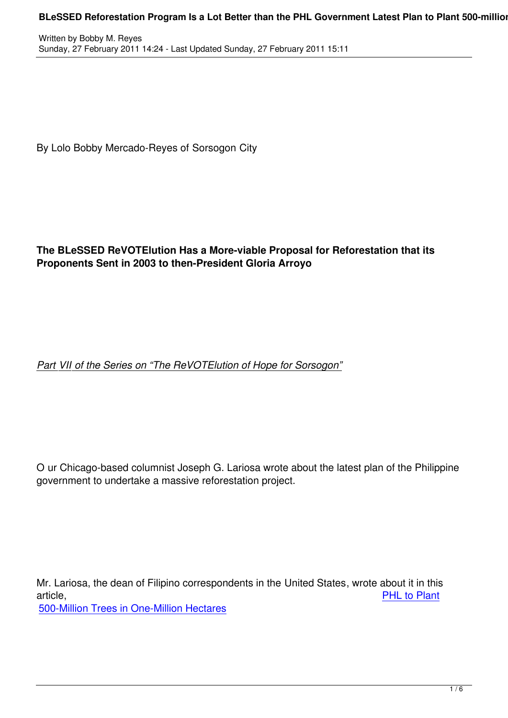By Lolo Bobby Mercado-Reyes of Sorsogon City

## **The BLeSSED ReVOTElution Has a More-viable Proposal for Reforestation that its Proponents Sent in 2003 to then-President Gloria Arroyo**

## *Part VII of the Series on "The ReVOTElution of Hope for Sorsogon"*

O ur Chicago-based columnist Joseph G. Lariosa wrote about the latest plan of the Philippine government to undertake a massive reforestation project.

Mr. Lariosa, the dean of Filipino correspondents in the United States, wrote about it in this article, PHL to Plant 500-Million Trees in One-Million Hectares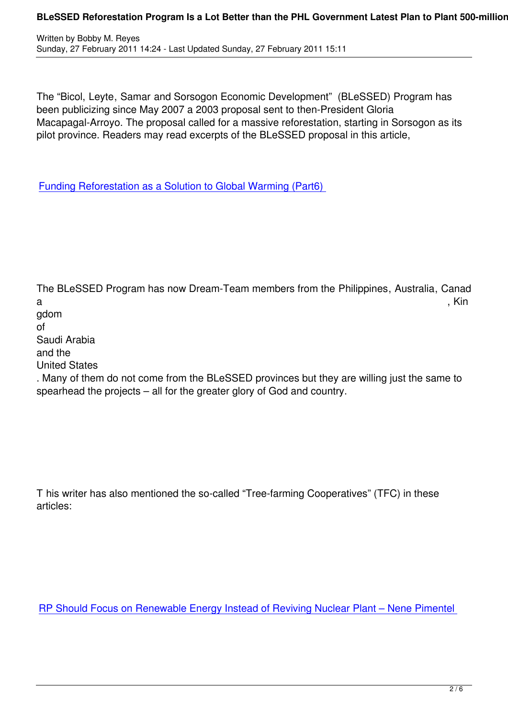The "Bicol, Leyte, Samar and Sorsogon Economic Development" (BLeSSED) Program has been publicizing since May 2007 a 2003 proposal sent to then-President Gloria Macapagal-Arroyo. The proposal called for a massive reforestation, starting in Sorsogon as its pilot province. Readers may read excerpts of the BLeSSED proposal in this article,

Funding Reforestation as a Solution to Global Warming (Part6)

The BLeSSED Program has now Dream-Team members from the Philippines, Australia, Canad a , Kin gdom of Saudi Arabia and the United States . Many of them do not come from the BLeSSED provinces but they are willing just the same to spearhead the projects – all for the greater glory of God and country.

T his writer has also mentioned the so-called "Tree-farming Cooperatives" (TFC) in these articles:

RP Should Focus on Renewable Energy Instead of Reviving Nuclear Plant – Nene Pimentel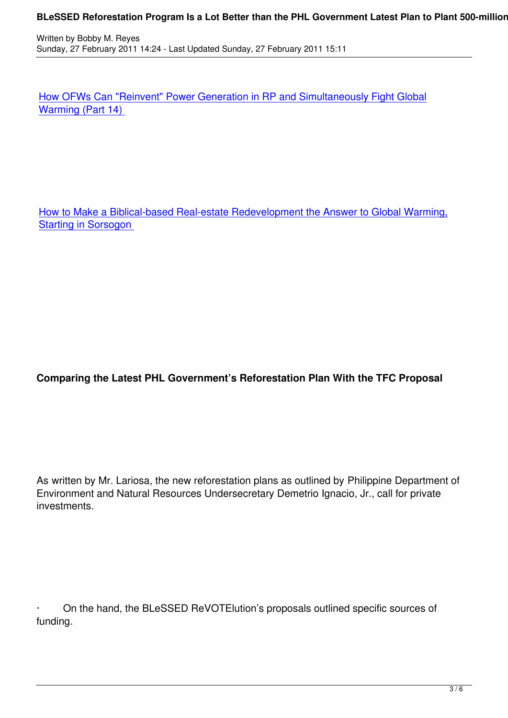How OFWs Can "Reinvent" Power Generation in RP and Simultaneously Fight Global Warming (Part 14)

How to Make a Biblical-based Real-estate Redevelopment the Answer to Global Warming, **Starting in Sorsogon** 

**Comparing the Latest PHL Government's Reforestation Plan With the TFC Proposal**

As written by Mr. Lariosa, the new reforestation plans as outlined by Philippine Department of Environment and Natural Resources Undersecretary Demetrio Ignacio, Jr., call for private investments.

· On the hand, the BLeSSED ReVOTElution's proposals outlined specific sources of funding.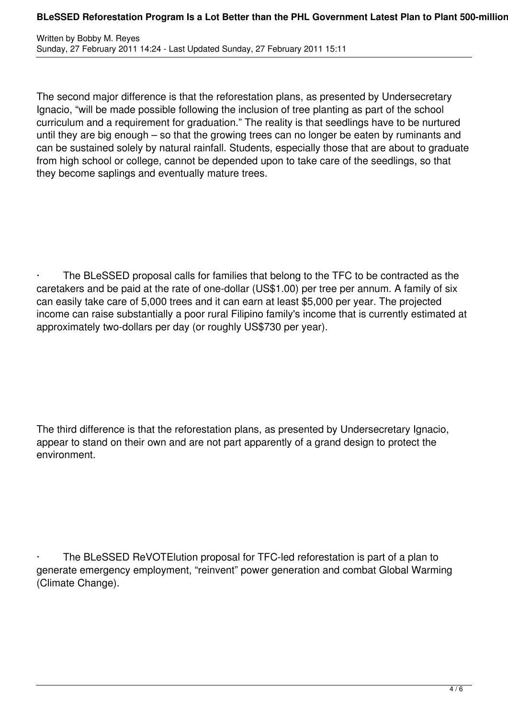The second major difference is that the reforestation plans, as presented by Undersecretary Ignacio, "will be made possible following the inclusion of tree planting as part of the school curriculum and a requirement for graduation." The reality is that seedlings have to be nurtured until they are big enough – so that the growing trees can no longer be eaten by ruminants and can be sustained solely by natural rainfall. Students, especially those that are about to graduate from high school or college, cannot be depended upon to take care of the seedlings, so that they become saplings and eventually mature trees.

The BLeSSED proposal calls for families that belong to the TFC to be contracted as the caretakers and be paid at the rate of one-dollar (US\$1.00) per tree per annum. A family of six can easily take care of 5,000 trees and it can earn at least \$5,000 per year. The projected income can raise substantially a poor rural Filipino family's income that is currently estimated at approximately two-dollars per day (or roughly US\$730 per year).

The third difference is that the reforestation plans, as presented by Undersecretary Ignacio, appear to stand on their own and are not part apparently of a grand design to protect the environment.

The BLeSSED ReVOTE lution proposal for TFC-led reforestation is part of a plan to generate emergency employment, "reinvent" power generation and combat Global Warming (Climate Change).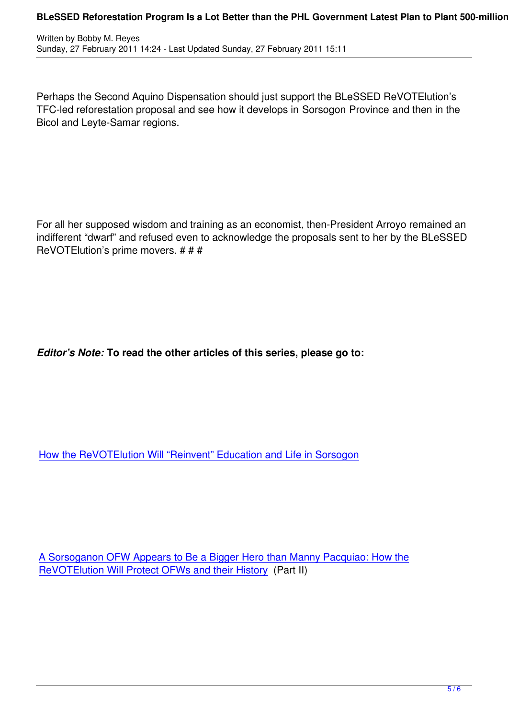Perhaps the Second Aquino Dispensation should just support the BLeSSED ReVOTElution's TFC-led reforestation proposal and see how it develops in Sorsogon Province and then in the Bicol and Leyte-Samar regions.

For all her supposed wisdom and training as an economist, then-President Arroyo remained an indifferent "dwarf" and refused even to acknowledge the proposals sent to her by the BLeSSED ReVOTElution's prime movers. # # #

*Editor's Note:* **To read the other articles of this series, please go to:**

How the ReVOTElution Will "Reinvent" Education and Life in Sorsogon

A Sorsoganon OFW Appears to Be a Bigger Hero than Manny Pacquiao: How the ReVOTElution Will Protect OFWs and their History (Part II)